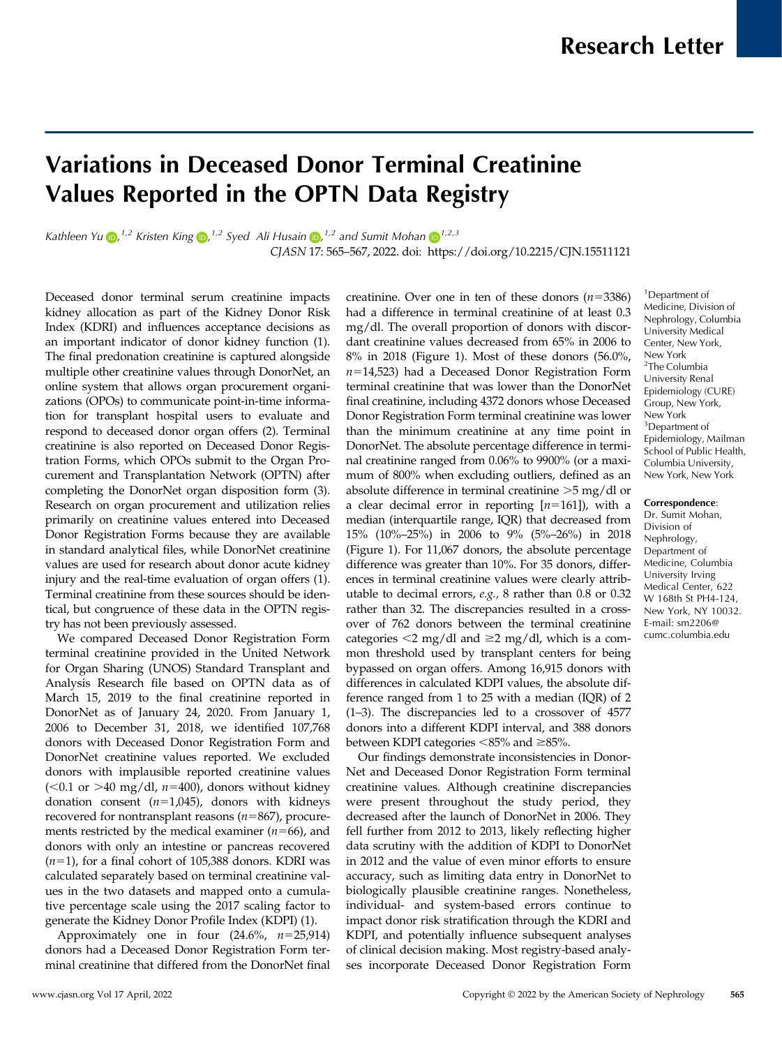# Variations in Deceased Donor Terminal Creatinine Values Reported in the OPTN Data Registry

Kathleen Yu D[,](https://orcid.org/0000-0002-7920-7615)  $^{1,2}$  Kristen King D,  $^{1,2}$  Syed Ali Husain D,  $^{1,2}$  and Sumit Mohan D  $^{1,2,3}$ 

CJASN 17: 565–567, 2022. doi:<https://doi.org/10.2215/CJN.15511121>

Deceased donor terminal serum creatinine impacts kidney allocation as part of the Kidney Donor Risk Index (KDRI) and influences acceptance decisions as an important indicator of donor kidney function (1). The final predonation creatinine is captured alongside multiple other creatinine values through DonorNet, an online system that allows organ procurement organizations (OPOs) to communicate point-in-time information for transplant hospital users to evaluate and respond to deceased donor organ offers (2). Terminal creatinine is also reported on Deceased Donor Registration Forms, which OPOs submit to the Organ Procurement and Transplantation Network (OPTN) after completing the DonorNet organ disposition form (3). Research on organ procurement and utilization relies primarily on creatinine values entered into Deceased Donor Registration Forms because they are available in standard analytical files, while DonorNet creatinine values are used for research about donor acute kidney injury and the real-time evaluation of organ offers (1). Terminal creatinine from these sources should be identical, but congruence of these data in the OPTN registry has not been previously assessed.

We compared Deceased Donor Registration Form terminal creatinine provided in the United Network for Organ Sharing (UNOS) Standard Transplant and Analysis Research file based on OPTN data as of March 15, 2019 to the final creatinine reported in DonorNet as of January 24, 2020. From January 1, 2006 to December 31, 2018, we identified 107,768 donors with Deceased Donor Registration Form and DonorNet creatinine values reported. We excluded donors with implausible reported creatinine values (<0.1 or >40 mg/dl,  $n=400$ ), donors without kidney donation consent  $(n=1,045)$ , donors with kidneys recovered for nontransplant reasons  $(n=867)$ , procurements restricted by the medical examiner  $(n=66)$ , and donors with only an intestine or pancreas recovered  $(n=1)$ , for a final cohort of 105,388 donors. KDRI was calculated separately based on terminal creatinine values in the two datasets and mapped onto a cumulative percentage scale using the 2017 scaling factor to generate the Kidney Donor Profile Index (KDPI) (1).

Approximately one in four  $(24.6\%, n=25,914)$ donors had a Deceased Donor Registration Form terminal creatinine that differed from the DonorNet final creatinine. Over one in ten of these donors  $(n=3386)$ had a difference in terminal creatinine of at least 0.3 mg/dl. The overall proportion of donors with discordant creatinine values decreased from 65% in 2006 to 8% in 2018 (Figure 1). Most of these donors (56.0%,  $n=14,523$ ) had a Deceased Donor Registration Form terminal creatinine that was lower than the DonorNet final creatinine, including 4372 donors whose Deceased Donor Registration Form terminal creatinine was lower than the minimum creatinine at any time point in DonorNet. The absolute percentage difference in terminal creatinine ranged from 0.06% to 9900% (or a maximum of 800% when excluding outliers, defined as an absolute difference in terminal creatinine  $>5$  mg/dl or a clear decimal error in reporting  $[n=161]$ , with a median (interquartile range, IQR) that decreased from 15% (10%–25%) in 2006 to 9% (5%–26%) in 2018 (Figure 1). For 11,067 donors, the absolute percentage difference was greater than 10%. For 35 donors, differences in terminal creatinine values were clearly attributable to decimal errors, e.g., 8 rather than 0.8 or 0.32 rather than 32. The discrepancies resulted in a crossover of 762 donors between the terminal creatinine categories  $\leq 2$  mg/dl and  $\geq 2$  mg/dl, which is a common threshold used by transplant centers for being bypassed on organ offers. Among 16,915 donors with differences in calculated KDPI values, the absolute difference ranged from 1 to 25 with a median (IQR) of 2 (1–3). The discrepancies led to a crossover of 4577 donors into a different KDPI interval, and 388 donors between KDPI categories  $<85\%$  and  $\geq 85\%$ .

Our findings demonstrate inconsistencies in Donor-Net and Deceased Donor Registration Form terminal creatinine values. Although creatinine discrepancies were present throughout the study period, they decreased after the launch of DonorNet in 2006. They fell further from 2012 to 2013, likely reflecting higher data scrutiny with the addition of KDPI to DonorNet in 2012 and the value of even minor efforts to ensure accuracy, such as limiting data entry in DonorNet to biologically plausible creatinine ranges. Nonetheless, individual- and system-based errors continue to impact donor risk stratification through the KDRI and KDPI, and potentially influence subsequent analyses of clinical decision making. Most registry-based analyses incorporate Deceased Donor Registration Form

#### Correspondence:

Dr. Sumit Mohan, Division of Nephrology, Department of Medicine, Columbia University Irving Medical Center, 622 W 168th St PH4-124, New York, NY 10032. E-mail: [sm2206@](mailto:sm2206@cumc.columbia.edu) [cumc.columbia.edu](mailto:sm2206@cumc.columbia.edu)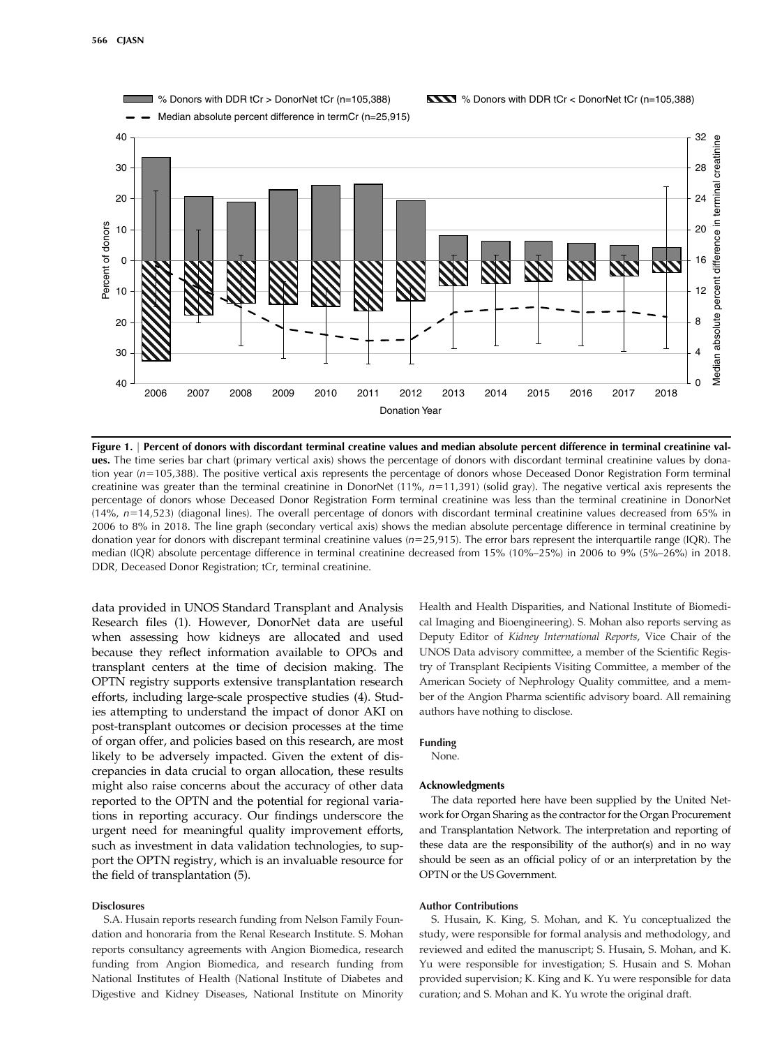

Figure 1. <sup>|</sup> Percent of donors with discordant terminal creatine values and median absolute percent difference in terminal creatinine values. The time series bar chart (primary vertical axis) shows the percentage of donors with discordant terminal creatinine values by donation year (n=105,388). The positive vertical axis represents the percentage of donors whose Deceased Donor Registration Form terminal creatinine was greater than the terminal creatinine in DonorNet (11%,  $n=11,391$ ) (solid gray). The negative vertical axis represents the percentage of donors whose Deceased Donor Registration Form terminal creatinine was less than the terminal creatinine in DonorNet  $(14\%$ ,  $n=14,523)$  (diagonal lines). The overall percentage of donors with discordant terminal creatinine values decreased from 65% in 2006 to 8% in 2018. The line graph (secondary vertical axis) shows the median absolute percentage difference in terminal creatinine by donation year for donors with discrepant terminal creatinine values  $(n=25,915)$ . The error bars represent the interquartile range (IQR). The median (IQR) absolute percentage difference in terminal creatinine decreased from 15% (10%–25%) in 2006 to 9% (5%–26%) in 2018. DDR, Deceased Donor Registration; tCr, terminal creatinine.

data provided in UNOS Standard Transplant and Analysis Research files (1). However, DonorNet data are useful when assessing how kidneys are allocated and used because they reflect information available to OPOs and transplant centers at the time of decision making. The OPTN registry supports extensive transplantation research efforts, including large-scale prospective studies (4). Studies attempting to understand the impact of donor AKI on post-transplant outcomes or decision processes at the time of organ offer, and policies based on this research, are most likely to be adversely impacted. Given the extent of discrepancies in data crucial to organ allocation, these results might also raise concerns about the accuracy of other data reported to the OPTN and the potential for regional variations in reporting accuracy. Our findings underscore the urgent need for meaningful quality improvement efforts, such as investment in data validation technologies, to support the OPTN registry, which is an invaluable resource for the field of transplantation (5).

## **Disclosures**

S.A. Husain reports research funding from Nelson Family Foundation and honoraria from the Renal Research Institute. S. Mohan reports consultancy agreements with Angion Biomedica, research funding from Angion Biomedica, and research funding from National Institutes of Health (National Institute of Diabetes and Digestive and Kidney Diseases, National Institute on Minority Health and Health Disparities, and National Institute of Biomedical Imaging and Bioengineering). S. Mohan also reports serving as Deputy Editor of Kidney International Reports, Vice Chair of the UNOS Data advisory committee, a member of the Scientific Registry of Transplant Recipients Visiting Committee, a member of the American Society of Nephrology Quality committee, and a member of the Angion Pharma scientific advisory board. All remaining authors have nothing to disclose.

#### Funding

None.

#### Acknowledgments

The data reported here have been supplied by the United Network for Organ Sharing as the contractor for the Organ Procurement and Transplantation Network. The interpretation and reporting of these data are the responsibility of the author(s) and in no way should be seen as an official policy of or an interpretation by the OPTN or the US Government.

## Author Contributions

S. Husain, K. King, S. Mohan, and K. Yu conceptualized the study, were responsible for formal analysis and methodology, and reviewed and edited the manuscript; S. Husain, S. Mohan, and K. Yu were responsible for investigation; S. Husain and S. Mohan provided supervision; K. King and K. Yu were responsible for data curation; and S. Mohan and K. Yu wrote the original draft.